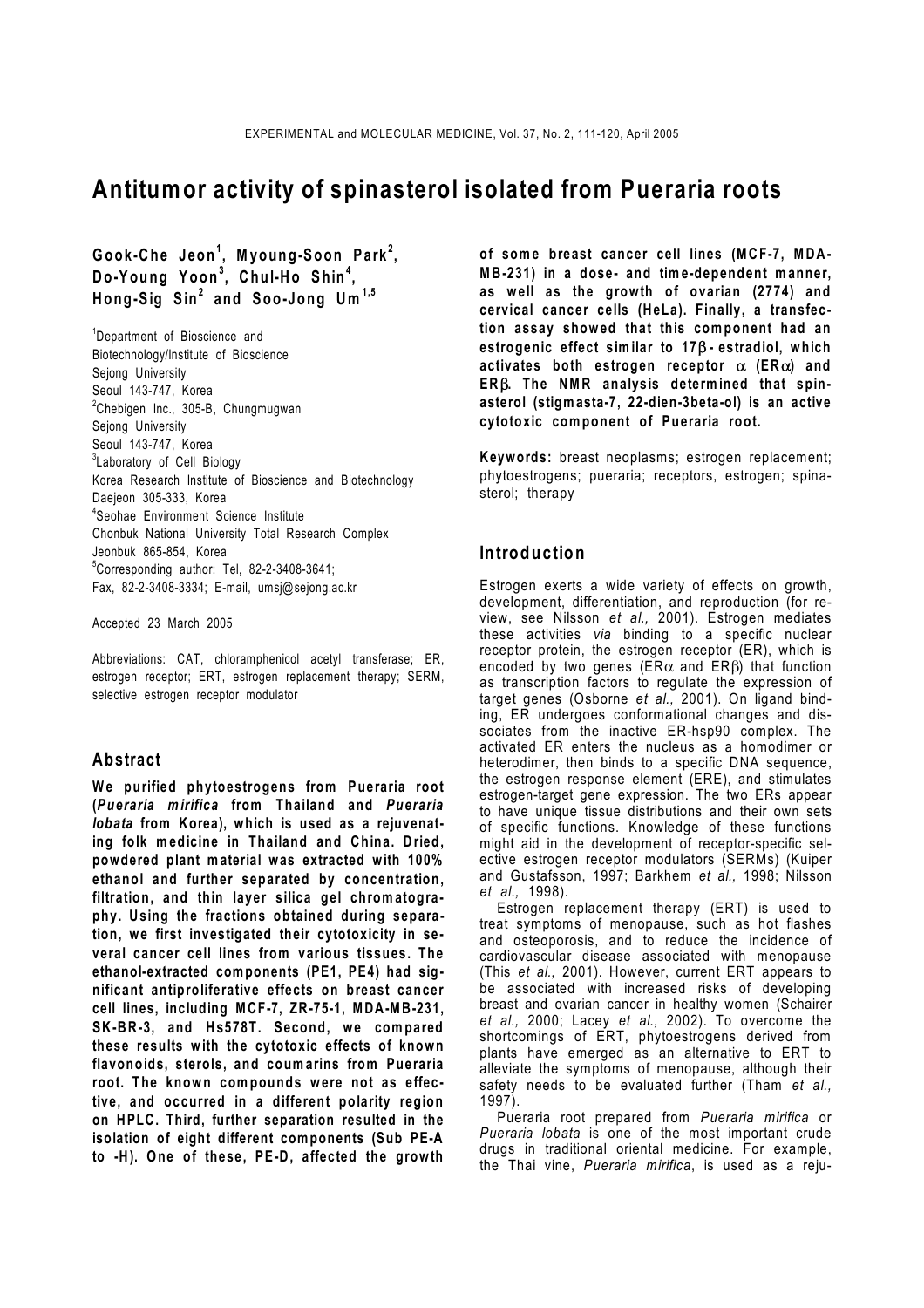# **Antitumor activity of spinasterol isolated from Pueraria roots**

**Gook-Che Jeon<sup>1</sup> , Myoung-Soon Park<sup>2</sup> , Do-Young Yoon<sup>3</sup> , Chul-Ho Shin<sup>4</sup> , Hong-Sig Sin<sup>2</sup> and Soo-Jong Um 1,5**

<sup>1</sup>Department of Bioscience and Biotechnology/Institute of Bioscience Sejong University Seoul 143-747, Korea <sup>2</sup>Chebigen Inc., 305-B, Chungmugwan Sejong University Seoul 143-747, Korea <sup>3</sup>Laboratory of Cell Biology Korea Research Institute of Bioscience and Biotechnology Daejeon 305-333, Korea 4 Seohae Environment Science Institute Chonbuk National University Total Research Complex Jeonbuk 865-854, Korea 5 Corresponding author: Tel, 82-2-3408-3641; Fax, 82-2-3408-3334; E-mail, umsj@sejong.ac.kr

Accepted 23 March 2005

Abbreviations: CAT, chloramphenicol acetyl transferase; ER, estrogen receptor; ERT, estrogen replacement therapy; SERM, selective estrogen receptor modulator

#### **Abstract**

**We purified phytoestrogens from Pueraria root (***Pueraria mirifica* **from Thailand and** *Pueraria lobata* **from Korea), which is used as a rejuvenating folk m edicine in Thailand and China. Dried, powdered plant material was extracted with 100% ethanol and further separated by concentration, filtration, and thin layer silica gel chromatography. Using the fractions obtained during separation, we first investigated their cytotoxicity in several cancer cell lines from various tissues. The ethanol-extracted components (PE1, PE4) had significant antiproliferative effects on breast cancer cell lines, including MCF-7, ZR-75-1, MDA-MB-231, SK-BR-3, and Hs578T. Second, we compared these results with the cytotoxic effects of known flavonoids, sterols, and coumarins from Pueraria root. The known compounds were not as effective, and occurred in a different polarity region on HPLC. Third, further separation resulted in the isolation of eight different components (Sub PE-A to -H). One of these, PE-D, affected the growth** 

**of some breast cancer cell lines (MCF-7, MDA-MB-231) in a dose- and time-dependent manner, as well as the growth of ovarian (2774) and cervical cancer cells (HeLa). Finally, a transfection assay showed that this component had an estrogenic effect similar to 17**β **- estradiol, which activates both estrogen receptor** α **(ER**α**) and ER**β**. The NMR analysis determined that spinasterol (stigmasta-7, 22-dien-3beta-ol) is an active cytotoxic component of Pueraria root.** 

**Keywords:** breast neoplasms; estrogen replacement; phytoestrogens; pueraria; receptors, estrogen; spinasterol; therapy

## **Introduction**

Estrogen exerts a wide variety of effects on growth, development, differentiation, and reproduction (for review, see Nilsson *et al.,* 2001). Estrogen mediates these activities *via* binding to a specific nuclear receptor protein, the estrogen receptor (ER), which is encoded by two genes (ER $\alpha$  and ER $\beta$ ) that function as transcription factors to regulate the expression of target genes (Osborne *et al.,* 2001). On ligand binding, ER undergoes conformational changes and dissociates from the inactive ER-hsp90 complex. The activated ER enters the nucleus as a homodimer or heterodimer, then binds to a specific DNA sequence, the estrogen response element (ERE), and stimulates estrogen-target gene expression. The two ERs appear to have unique tissue distributions and their own sets of specific functions. Knowledge of these functions might aid in the development of receptor-specific selective estrogen receptor modulators (SERMs) (Kuiper and Gustafsson, 1997; Barkhem *et al.,* 1998; Nilsson *et al.,* 1998).

Estrogen replacement therapy (ERT) is used to treat symptoms of menopause, such as hot flashes and osteoporosis, and to reduce the incidence of cardiovascular disease associated with menopause (This *et al.,* 2001). However, current ERT appears to be associated with increased risks of developing breast and ovarian cancer in healthy women (Schairer *et al.,* 2000; Lacey *et al.,* 2002). To overcome the shortcomings of ERT, phytoestrogens derived from plants have emerged as an alternative to ERT to alleviate the symptoms of menopause, although their safety needs to be evaluated further (Tham *et al.,* 1997).

 Pueraria root prepared from *Pueraria mirifica* or *Pueraria lobata* is one of the most important crude drugs in traditional oriental medicine. For example, the Thai vine, *Pueraria mirifica*, is used as a reju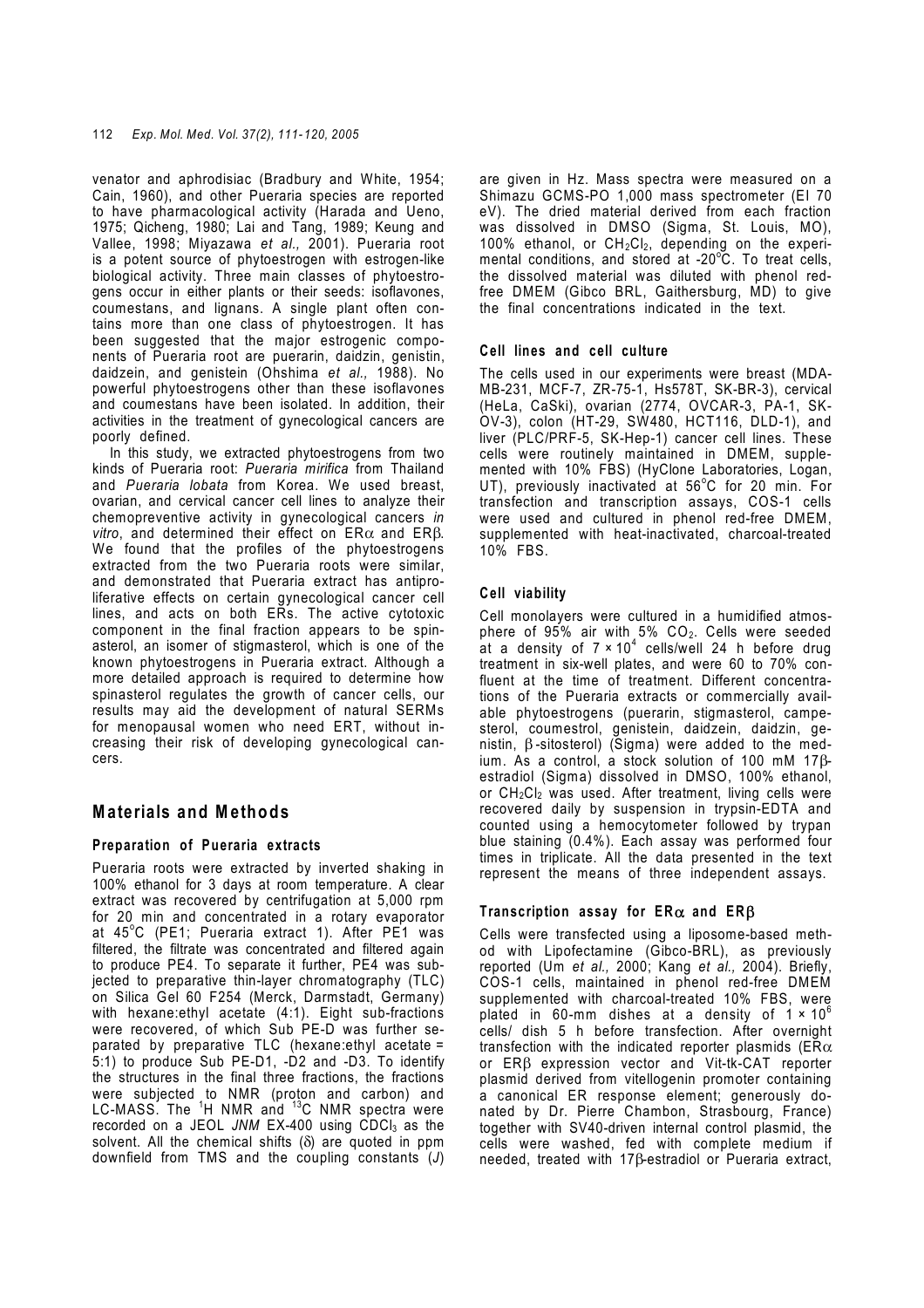venator and aphrodisiac (Bradbury and White, 1954; Cain, 1960), and other Pueraria species are reported to have pharmacological activity (Harada and Ueno, 1975; Qicheng, 1980; Lai and Tang, 1989; Keung and Vallee, 1998; Miyazawa *et al.,* 2001). Pueraria root is a potent source of phytoestrogen with estrogen-like biological activity. Three main classes of phytoestrogens occur in either plants or their seeds: isoflavones, coumestans, and lignans. A single plant often contains more than one class of phytoestrogen. It has been suggested that the major estrogenic components of Pueraria root are puerarin, daidzin, genistin, daidzein, and genistein (Ohshima *et al.,* 1988). No powerful phytoestrogens other than these isoflavones and coumestans have been isolated. In addition, their activities in the treatment of gynecological cancers are poorly defined.

 In this study, we extracted phytoestrogens from two kinds of Pueraria root: *Pueraria mirifica* from Thailand and *Pueraria lobata* from Korea. We used breast, ovarian, and cervical cancer cell lines to analyze their chemopreventive activity in gynecological cancers *in vitro*, and determined their effect on ERα and ERβ. We found that the profiles of the phytoestrogens extracted from the two Pueraria roots were similar, and demonstrated that Pueraria extract has antiproliferative effects on certain gynecological cancer cell lines, and acts on both ERs. The active cytotoxic component in the final fraction appears to be spinasterol, an isomer of stigmasterol, which is one of the known phytoestrogens in Pueraria extract. Although a more detailed approach is required to determine how spinasterol regulates the growth of cancer cells, our results may aid the development of natural SERMs for menopausal women who need ERT, without increasing their risk of developing gynecological cancers.

# **Materials and Methods**

## **Preparation of Pueraria extracts**

Pueraria roots were extracted by inverted shaking in 100% ethanol for 3 days at room temperature. A clear extract was recovered by centrifugation at 5,000 rpm for 20 min and concentrated in a rotary evaporator at 45°C (PE1; Pueraria extract 1). After PE1 was filtered, the filtrate was concentrated and filtered again to produce PE4. To separate it further, PE4 was subjected to preparative thin-layer chromatography (TLC) on Silica Gel 60 F254 (Merck, Darmstadt, Germany) with hexane: ethyl acetate (4:1). Eight sub-fractions were recovered, of which Sub PE-D was further separated by preparative TLC (hexane:ethyl acetate = 5:1) to produce Sub PE-D1, -D2 and -D3. To identify the structures in the final three fractions, the fractions were subjected to NMR (proton and carbon) and LC-MASS. The <sup>1</sup>H NMR and <sup>13</sup>C NMR spectra were recorded on a JEOL JNM EX-400 using CDCl<sub>3</sub> as the solvent. All the chemical shifts (δ) are quoted in ppm downfield from TMS and the coupling constants (*J*)

are given in Hz. Mass spectra were measured on a Shimazu GCMS-PO 1,000 mass spectrometer (EI 70 eV). The dried material derived from each fraction was dissolved in DMSO (Sigma, St. Louis, MO), 100% ethanol, or CH<sub>2</sub>Cl<sub>2</sub>, depending on the experimental conditions, and stored at -20°C. To treat cells, the dissolved material was diluted with phenol redfree DMEM (Gibco BRL, Gaithersburg, MD) to give the final concentrations indicated in the text.

### **Cell lines and cell culture**

The cells used in our experiments were breast (MDA-MB-231, MCF-7, ZR-75-1, Hs578T, SK-BR-3), cervical (HeLa, CaSki), ovarian (2774, OVCAR-3, PA-1, SK-OV-3), colon (HT-29, SW480, HCT116, DLD-1), and liver (PLC/PRF-5, SK-Hep-1) cancer cell lines. These cells were routinely maintained in DMEM, supplemented with 10% FBS) (HyClone Laboratories, Logan, UT), previously inactivated at 56°C for 20 min. For transfection and transcription assays, COS-1 cells were used and cultured in phenol red-free DMEM, supplemented with heat-inactivated, charcoal-treated 10% FBS.

### **Cell viability**

Cell monolayers were cultured in a humidified atmosphere of  $95\%$  air with  $5\%$  CO<sub>2</sub>. Cells were seeded at a density of 7  $\times$  10<sup>4</sup> cells/well 24 h before drug treatment in six-well plates, and were 60 to 70% confluent at the time of treatment. Different concentrations of the Pueraria extracts or commercially available phytoestrogens (puerarin, stigmasterol, campesterol, coumestrol, genistein, daidzein, daidzin, genistin, β -sitosterol) (Sigma) were added to the medium. As a control, a stock solution of 100 mM 17βestradiol (Sigma) dissolved in DMSO, 100% ethanol, or  $CH_2Cl_2$  was used. After treatment, living cells were recovered daily by suspension in trypsin-EDTA and counted using a hemocytometer followed by trypan blue staining (0.4%). Each assay was performed four times in triplicate. All the data presented in the text represent the means of three independent assays.

#### **Transcription assay for ER**α **and ER**β

Cells were transfected using a liposome-based method with Lipofectamine (Gibco-BRL), as previously reported (Um *et al.,* 2000; Kang *et al.,* 2004). Briefly, COS-1 cells, maintained in phenol red-free DMEM supplemented with charcoal-treated 10% FBS, were plated in 60-mm dishes at a density of  $1 \times 10^6$ cells/ dish 5 h before transfection. After overnight transfection with the indicated reporter plasmids ( $ER\alpha$ or ERβ expression vector and Vit-tk-CAT reporter plasmid derived from vitellogenin promoter containing a canonical ER response element; generously donated by Dr. Pierre Chambon, Strasbourg, France) together with SV40-driven internal control plasmid, the cells were washed, fed with complete medium if needed, treated with 17β-estradiol or Pueraria extract,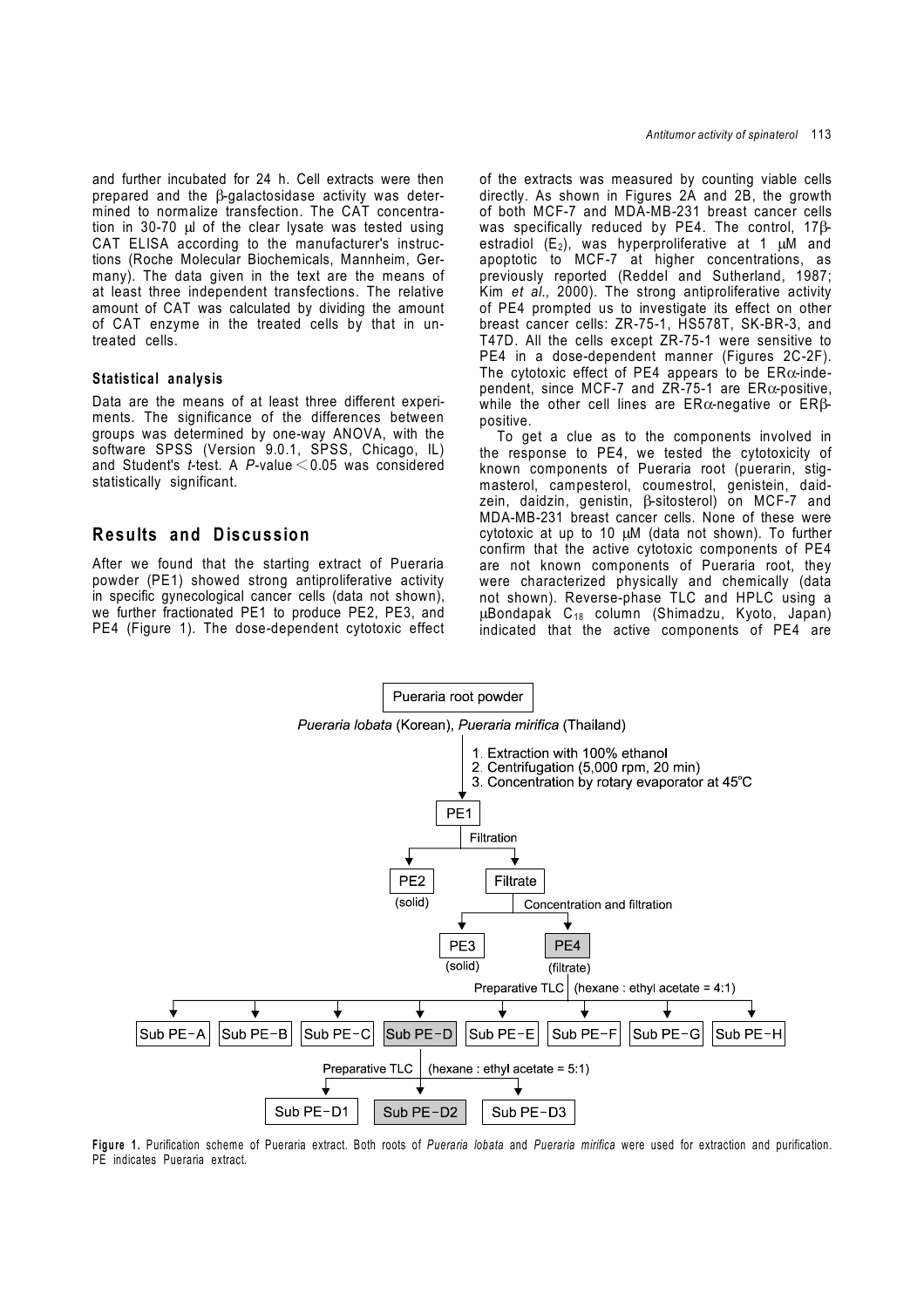and further incubated for 24 h. Cell extracts were then prepared and the β-galactosidase activity was determined to normalize transfection. The CAT concentration in 30-70 µl of the clear lysate was tested using CAT ELISA according to the manufacturer's instructions (Roche Molecular Biochemicals, Mannheim, Germany). The data given in the text are the means of at least three independent transfections. The relative amount of CAT was calculated by dividing the amount of CAT enzyme in the treated cells by that in untreated cells.

#### **Statistical analysis**

Data are the means of at least three different experiments. The significance of the differences between groups was determined by one-way ANOVA, with the software SPSS (Version 9.0.1, SPSS, Chicago, IL) and Student's *t*-test. A *P*-value <0.05 was considered statistically significant.

# **Results and Discussion**

After we found that the starting extract of Pueraria powder (PE1) showed strong antiproliferative activity in specific gynecological cancer cells (data not shown), we further fractionated PE1 to produce PE2, PE3, and PE4 (Figure 1). The dose-dependent cytotoxic effect of the extracts was measured by counting viable cells directly. As shown in Figures 2A and 2B, the growth of both MCF-7 and MDA-MB-231 breast cancer cells was specifically reduced by PE4. The control, 17βestradiol  $(E_2)$ , was hyperproliferative at 1  $\mu$ M and apoptotic to MCF-7 at higher concentrations, as previously reported (Reddel and Sutherland, 1987; Kim *et al.,* 2000). The strong antiproliferative activity of PE4 prompted us to investigate its effect on other breast cancer cells: ZR-75-1, HS578T, SK-BR-3, and T47D. All the cells except ZR-75-1 were sensitive to PE4 in a dose-dependent manner (Figures 2C-2F). The cytotoxic effect of PE4 appears to be  $ER\alpha$ -independent, since MCF-7 and ZR-75-1 are  $ER\alpha$ -positive, while the other cell lines are ERα-negative or ERβpositive.

 To get a clue as to the components involved in the response to PE4, we tested the cytotoxicity of known components of Pueraria root (puerarin, stigmasterol, campesterol, coumestrol, genistein, daidzein, daidzin, genistin, β-sitosterol) on MCF-7 and MDA-MB-231 breast cancer cells. None of these were cytotoxic at up to 10 µM (data not shown). To further confirm that the active cytotoxic components of PE4 are not known components of Pueraria root, they were characterized physically and chemically (data not shown). Reverse-phase TLC and HPLC using a µBondapak C18 column (Shimadzu, Kyoto, Japan) indicated that the active components of PE4 are



**Figure 1.** Purification scheme of Pueraria extract. Both roots of *Pueraria lobata* and *Pueraria mirifica* were used for extraction and purification. PE indicates Pueraria extract.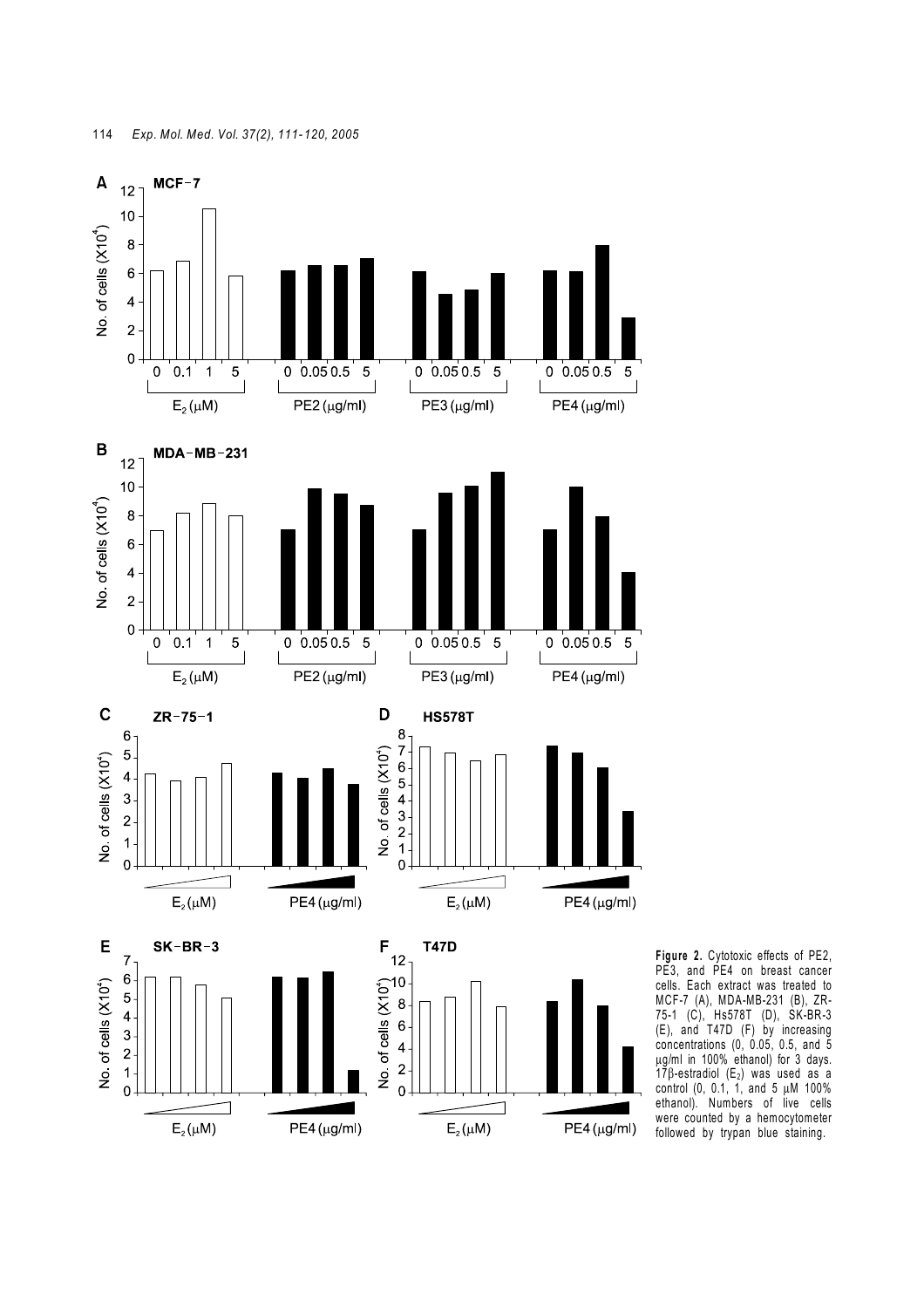

**Figure 2.** Cytotoxic effects of PE2, PE3, and PE4 on breast cancer cells. Each extract was treated to MCF-7 (A), MDA-MB-231 (B), ZR-75-1 (C), Hs578T (D), SK-BR-3 (E), and T47D (F) by increasing concentrations (0, 0.05, 0.5, and 5 µg/ml in 100% ethanol) for 3 days.  $17\beta$ -estradiol (E<sub>2</sub>) was used as a control (0, 0.1, 1, and 5 µM 100% ethanol). Numbers of live cells were counted by a hemocytometer followed by trypan blue staining.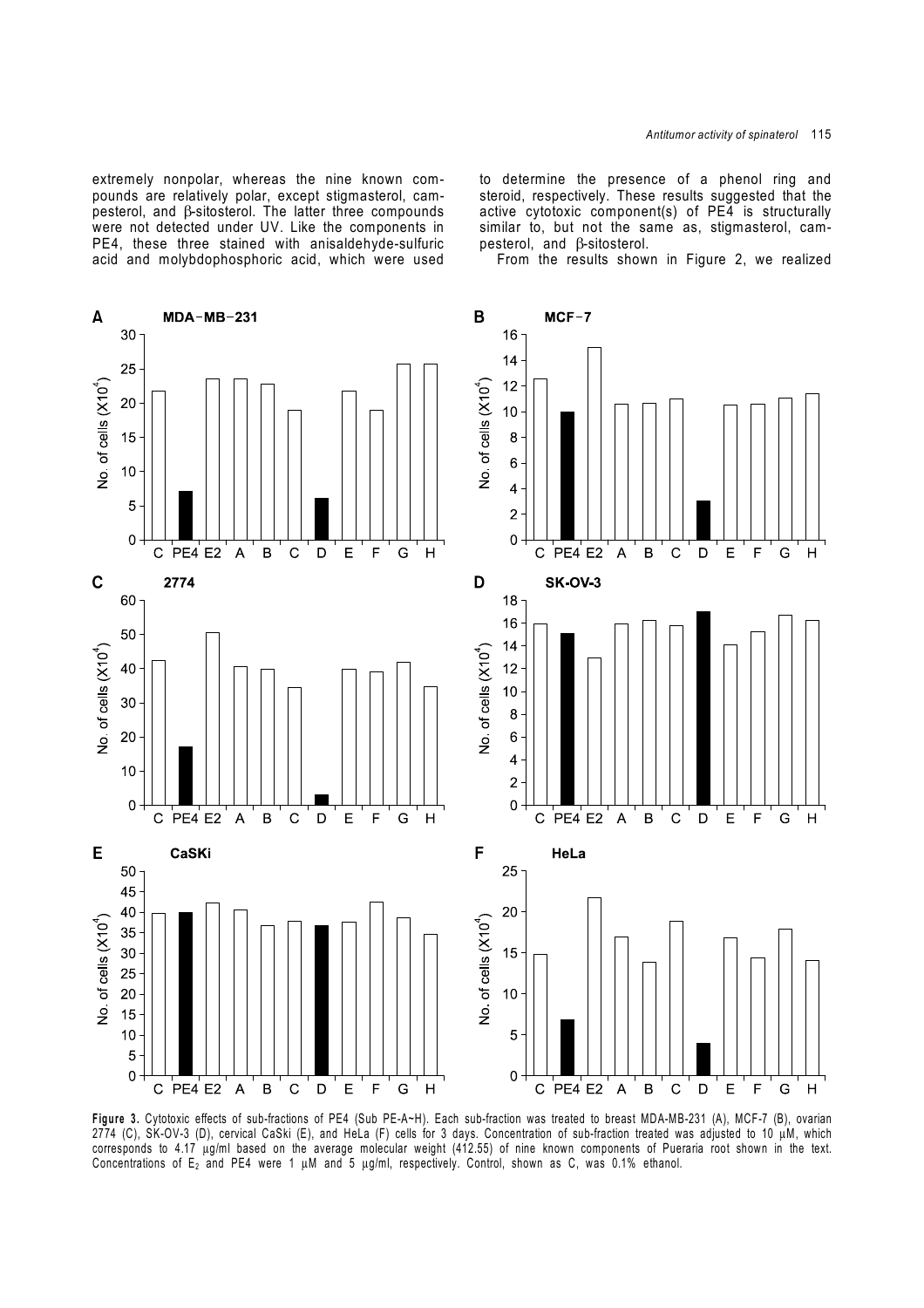extremely nonpolar, whereas the nine known compounds are relatively polar, except stigmasterol, campesterol, and β-sitosterol. The latter three compounds were not detected under UV. Like the components in PE4, these three stained with anisaldehyde-sulfuric acid and molybdophosphoric acid, which were used

to determine the presence of a phenol ring and steroid, respectively. These results suggested that the active cytotoxic component(s) of PE4 is structurally similar to, but not the same as, stigmasterol, campesterol, and β-sitosterol.

From the results shown in Figure 2, we realized



**Figure 3.** Cytotoxic effects of sub-fractions of PE4 (Sub PE-A~H). Each sub-fraction was treated to breast MDA-MB-231 (A), MCF-7 (B), ovarian 2774 (C), SK-OV-3 (D), cervical CaSki (E), and HeLa (F) cells for 3 days. Concentration of sub-fraction treated was adjusted to 10 µM, which corresponds to 4.17 µg/ml based on the average molecular weight (412.55) of nine known components of Pueraria root shown in the text. Concentrations of  $E_2$  and PE4 were 1  $\mu$ M and 5  $\mu$ g/ml, respectively. Control, shown as C, was 0.1% ethanol.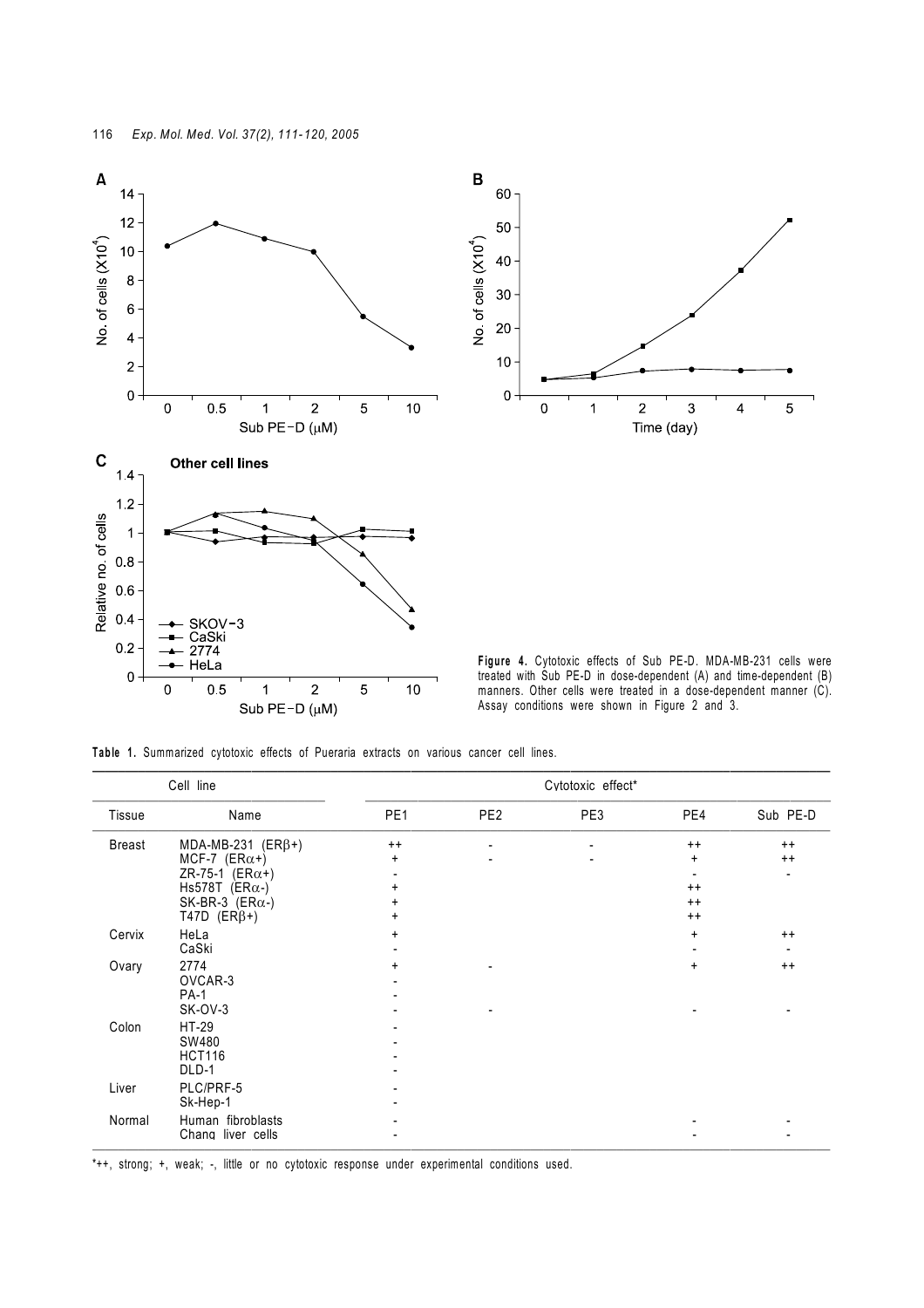

**Table 1.** Summarized cytotoxic effects of Pueraria extracts on various cancer cell lines.

| Cell line     |                                                                                                                                | Cytotoxic effect*                      |                 |     |                                                    |                                   |
|---------------|--------------------------------------------------------------------------------------------------------------------------------|----------------------------------------|-----------------|-----|----------------------------------------------------|-----------------------------------|
| <b>Tissue</b> | Name                                                                                                                           | PE <sub>1</sub>                        | PE <sub>2</sub> | PE3 | PE4                                                | Sub PE-D                          |
| <b>Breast</b> | MDA-MB-231 (ER $\beta$ +)<br>MCF-7 $(ER\alpha+)$<br>ZR-75-1 (ER $\alpha$ +)<br>Hs578T (ER $\alpha$ -)<br>SK-BR-3 $(ER\alpha-)$ | $^{++}$<br>$\ddot{}$<br>$\pmb{+}$<br>+ |                 |     | $^{++}$<br>$\ddot{}$<br>$^{++}$<br>$^{++}$<br>$++$ | $^{++}$<br>$++$<br>$\blacksquare$ |
| Cervix        | T47D $(ER\beta+)$<br>HeLa<br>CaSki                                                                                             | $\ddot{}$                              |                 |     | $+$                                                | $++$<br>$\blacksquare$            |
| Ovary         | 2774<br>OVCAR-3<br><b>PA-1</b><br>SK-OV-3                                                                                      | +                                      |                 |     | $+$                                                | $++$                              |
| Colon         | HT-29<br>SW480<br><b>HCT116</b><br>DLD-1                                                                                       |                                        |                 |     |                                                    |                                   |
| Liver         | PLC/PRF-5<br>Sk-Hep-1                                                                                                          |                                        |                 |     |                                                    |                                   |
| Normal        | Human fibroblasts<br>Chang liver cells                                                                                         |                                        |                 |     |                                                    |                                   |

\*++, strong; +, weak; -, little or no cytotoxic response under experimental conditions used.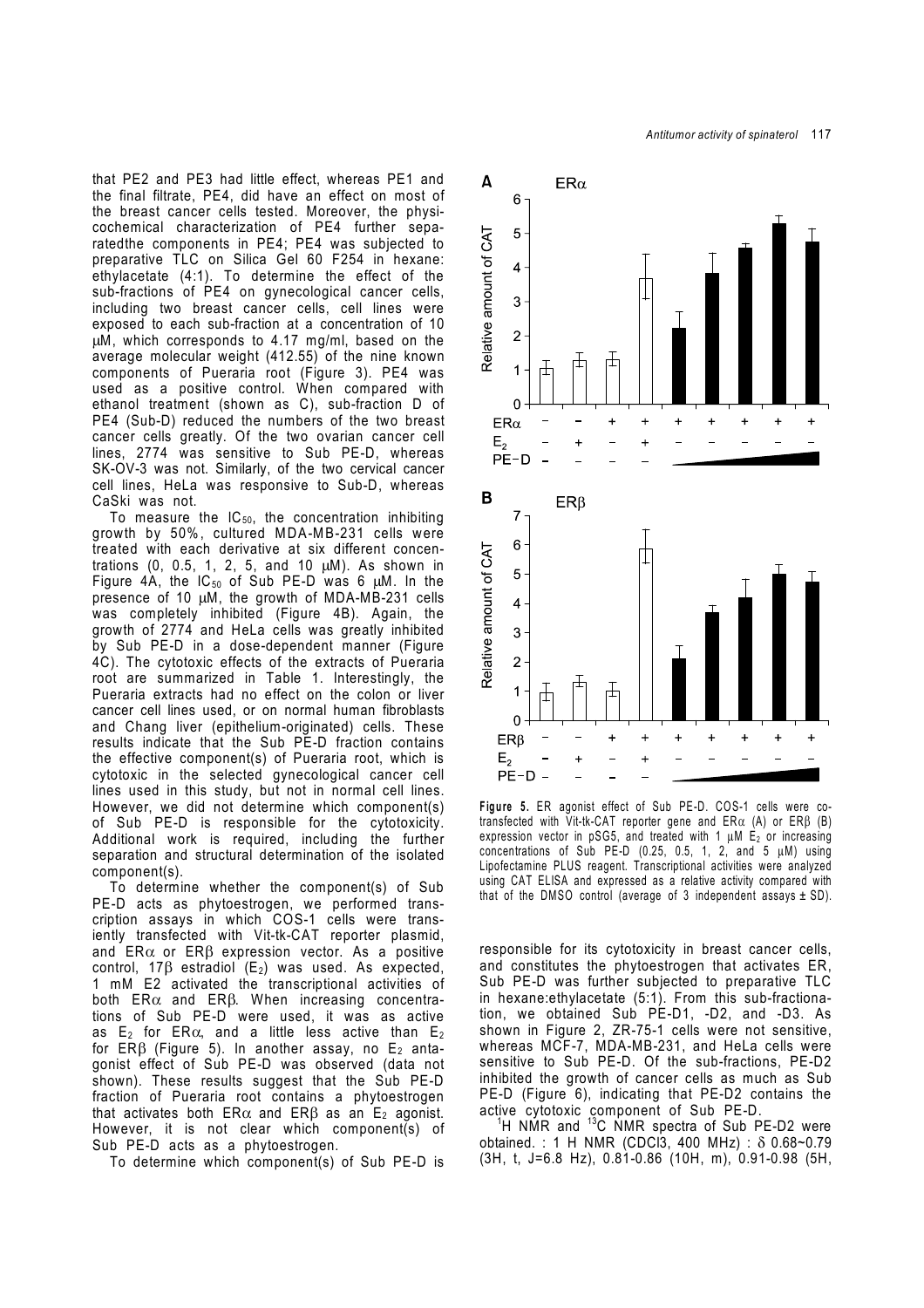that PE2 and PE3 had little effect, whereas PE1 and the final filtrate, PE4, did have an effect on most of the breast cancer cells tested. Moreover, the physicochemical characterization of PE4 further separatedthe components in PE4; PE4 was subjected to preparative TLC on Silica Gel 60 F254 in hexane: ethylacetate (4:1). To determine the effect of the sub-fractions of PE4 on gynecological cancer cells, including two breast cancer cells, cell lines were exposed to each sub-fraction at a concentration of 10 µM, which corresponds to 4.17 mg/ml, based on the average molecular weight (412.55) of the nine known components of Pueraria root (Figure 3). PE4 was used as a positive control. When compared with ethanol treatment (shown as C), sub-fraction D of PE4 (Sub-D) reduced the numbers of the two breast cancer cells greatly. Of the two ovarian cancer cell lines, 2774 was sensitive to Sub PE-D, whereas SK-OV-3 was not. Similarly, of the two cervical cancer cell lines, HeLa was responsive to Sub-D, whereas CaSki was not.

To measure the  $IC_{50}$ , the concentration inhibiting growth by 50%, cultured MDA-MB-231 cells were treated with each derivative at six different concentrations (0, 0.5, 1, 2, 5, and 10  $\mu$ M). As shown in Figure 4A, the  $IC_{50}$  of Sub PE-D was 6  $µM$ . In the presence of 10 µM, the growth of MDA-MB-231 cells was completely inhibited (Figure 4B). Again, the growth of 2774 and HeLa cells was greatly inhibited by Sub PE-D in a dose-dependent manner (Figure 4C). The cytotoxic effects of the extracts of Pueraria root are summarized in Table 1. Interestingly, the Pueraria extracts had no effect on the colon or liver cancer cell lines used, or on normal human fibroblasts and Chang liver (epithelium-originated) cells. These results indicate that the Sub PE-D fraction contains the effective component(s) of Pueraria root, which is cytotoxic in the selected gynecological cancer cell lines used in this study, but not in normal cell lines. However, we did not determine which component(s) of Sub PE-D is responsible for the cytotoxicity. Additional work is required, including the further separation and structural determination of the isolated component(s).

 To determine whether the component(s) of Sub PE-D acts as phytoestrogen, we performed transcription assays in which COS-1 cells were transiently transfected with Vit-tk-CAT reporter plasmid, and  $ER\alpha$  or  $ER\beta$  expression vector. As a positive control,  $17\beta$  estradiol (E<sub>2</sub>) was used. As expected, 1 mM E2 activated the transcriptional activities of both ER $\alpha$  and ER $\beta$ . When increasing concentrations of Sub PE-D were used, it was as active as  $E_2$  for ER $\alpha$ , and a little less active than  $E_2$ for ER $\beta$  (Figure 5). In another assay, no E<sub>2</sub> antagonist effect of Sub PE-D was observed (data not shown). These results suggest that the Sub PE-D fraction of Pueraria root contains a phytoestrogen that activates both ER $\alpha$  and ER $\beta$  as an E<sub>2</sub> agonist. However, it is not clear which component(s) of Sub PE-D acts as a phytoestrogen.

To determine which component(s) of Sub PE-D is



**Figure 5.** ER agonist effect of Sub PE-D. COS-1 cells were cotransfected with Vit-tk-CAT reporter gene and  $ER\alpha$  (A) or  $ER\beta$  (B) expression vector in pSG5, and treated with 1  $\mu$ M E<sub>2</sub> or increasing concentrations of Sub PE-D (0.25, 0.5, 1, 2, and 5  $\mu$ M) using Lipofectamine PLUS reagent. Transcriptional activities were analyzed using CAT ELISA and expressed as a relative activity compared with that of the DMSO control (average of 3 independent assays  $\pm$  SD).

responsible for its cytotoxicity in breast cancer cells, and constitutes the phytoestrogen that activates ER, Sub PE-D was further subjected to preparative TLC in hexane:ethylacetate (5:1). From this sub-fractionation, we obtained Sub PE-D1, -D2, and -D3. As shown in Figure 2, ZR-75-1 cells were not sensitive, whereas MCF-7, MDA-MB-231, and HeLa cells were sensitive to Sub PE-D. Of the sub-fractions, PE-D2 inhibited the growth of cancer cells as much as Sub PE-D (Figure 6), indicating that PE-D2 contains the active cytotoxic component of Sub PE-D.

<sup>1</sup>H NMR and  $13C$  NMR spectra of Sub PE-D2 were obtained. : 1 H NMR (CDCl3, 400 MHz) : δ 0.68~0.79 (3H, t, J=6.8 Hz), 0.81-0.86 (10H, m), 0.91-0.98 (5H,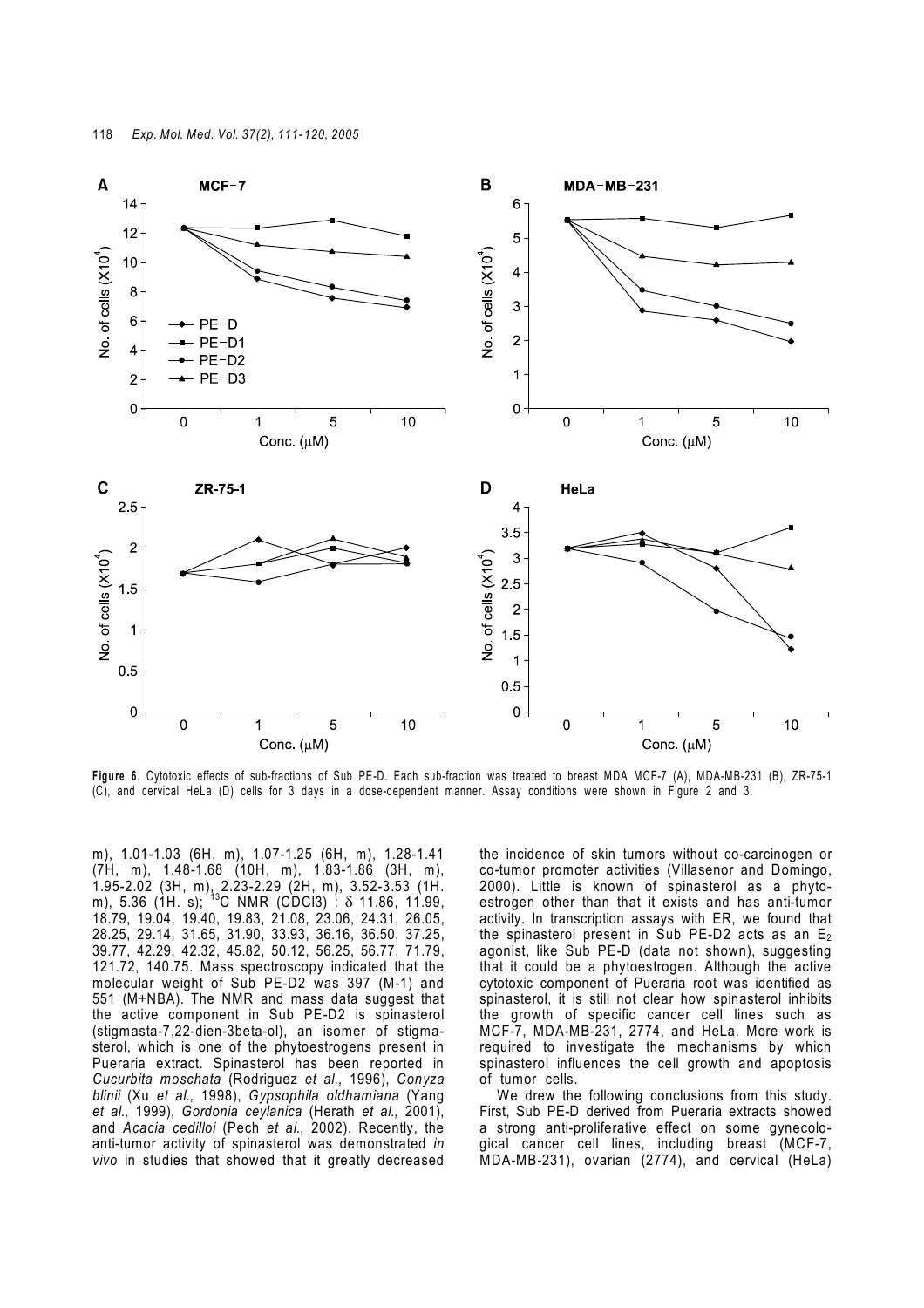

**Figure 6.** Cytotoxic effects of sub-fractions of Sub PE-D. Each sub-fraction was treated to breast MDA MCF-7 (A), MDA-MB-231 (B), ZR-75-1 (C), and cervical HeLa (D) cells for 3 days in a dose-dependent manner. Assay conditions were shown in Figure 2 and 3.

m), 1.01-1.03 (6H, m), 1.07-1.25 (6H, m), 1.28-1.41 (7H, m), 1.48-1.68 (10H, m), 1.83-1.86 (3H, m), 1.95-2.02 (3H, m), 2.23-2.29 (2H, m), 3.52-3.53 (1H. m), 5.36 (1H. s);  $^{13}$ C NMR (CDCl3)  $\cdot$   $\delta$  11.86, 11.99, 18.79, 19.04, 19.40, 19.83, 21.08, 23.06, 24.31, 26.05, 28.25, 29.14, 31.65, 31.90, 33.93, 36.16, 36.50, 37.25, 39.77, 42.29, 42.32, 45.82, 50.12, 56.25, 56.77, 71.79, 121.72, 140.75. Mass spectroscopy indicated that the molecular weight of Sub PE-D2 was 397 (M-1) and 551 (M+NBA). The NMR and mass data suggest that the active component in Sub PE-D2 is spinasterol (stigmasta-7,22-dien-3beta-ol), an isomer of stigmasterol, which is one of the phytoestrogens present in Pueraria extract. Spinasterol has been reported in *Cucurbita moschata* (Rodriguez *et al.,* 1996), *Conyza blinii* (Xu *et al.,* 1998), *Gypsophila oldhamiana* (Yang *et al.,* 1999), *Gordonia ceylanica* (Herath *et al.,* 2001), and *Acacia cedilloi* (Pech *et al.,* 2002). Recently, the anti-tumor activity of spinasterol was demonstrated *in vivo* in studies that showed that it greatly decreased

the incidence of skin tumors without co-carcinogen or co-tumor promoter activities (Villasenor and Domingo, 2000). Little is known of spinasterol as a phytoestrogen other than that it exists and has anti-tumor activity. In transcription assays with ER, we found that the spinasterol present in Sub PE-D2 acts as an  $E_2$ agonist, like Sub PE-D (data not shown), suggesting that it could be a phytoestrogen. Although the active cytotoxic component of Pueraria root was identified as spinasterol, it is still not clear how spinasterol inhibits the growth of specific cancer cell lines such as MCF-7, MDA-MB-231, 2774, and HeLa. More work is required to investigate the mechanisms by which spinasterol influences the cell growth and apoptosis of tumor cells.

 We drew the following conclusions from this study. First, Sub PE-D derived from Pueraria extracts showed a strong anti-proliferative effect on some gynecological cancer cell lines, including breast (MCF-7, MDA-MB-231), ovarian (2774), and cervical (HeLa)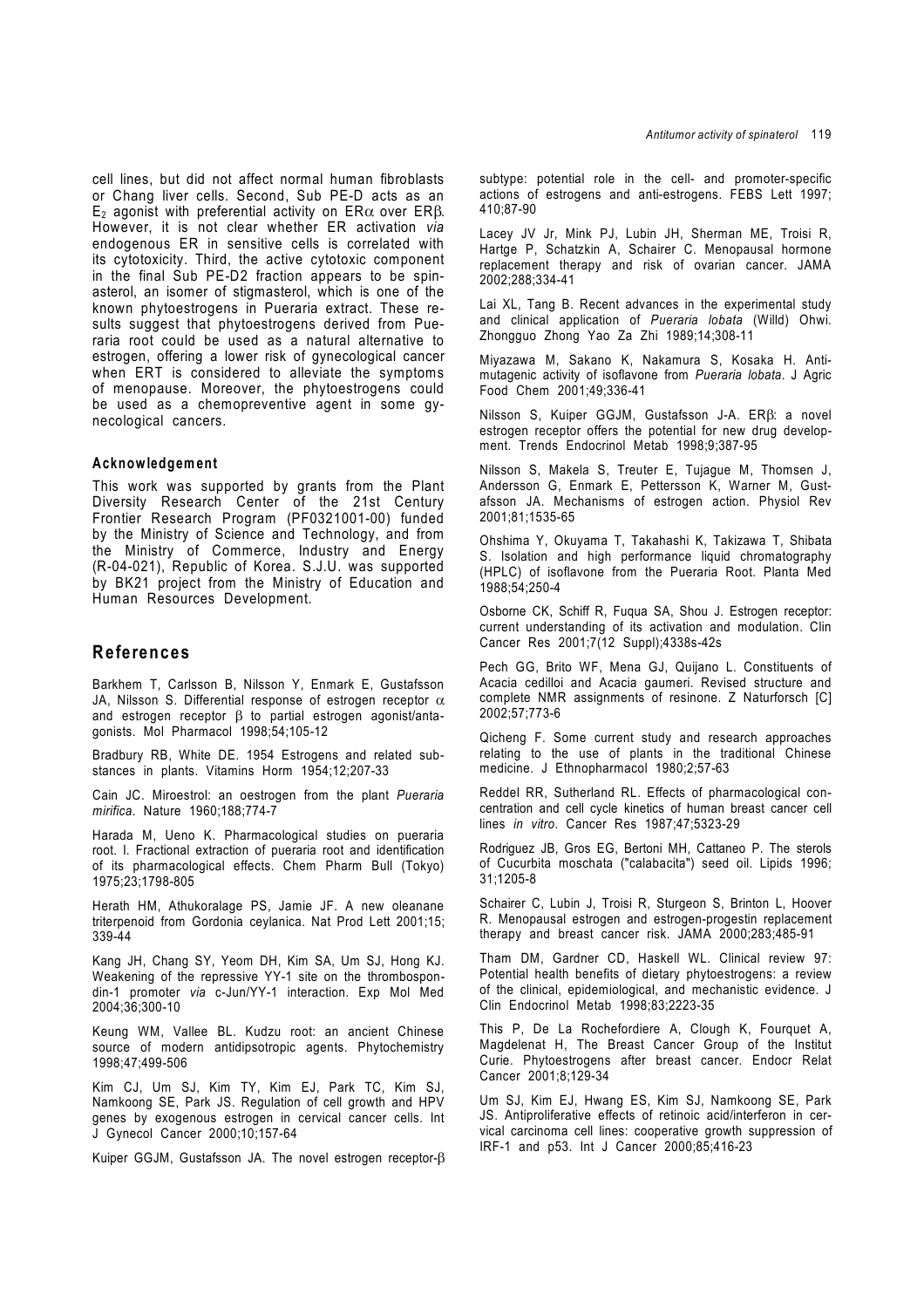cell lines, but did not affect normal human fibroblasts or Chang liver cells. Second, Sub PE-D acts as an E<sub>2</sub> agonist with preferential activity on ERα over ERβ. However, it is not clear whether ER activation *via* endogenous ER in sensitive cells is correlated with its cytotoxicity. Third, the active cytotoxic component in the final Sub PE-D2 fraction appears to be spinasterol, an isomer of stigmasterol, which is one of the known phytoestrogens in Pueraria extract. These results suggest that phytoestrogens derived from Pueraria root could be used as a natural alternative to estrogen, offering a lower risk of gynecological cancer when ERT is considered to alleviate the symptoms of menopause. Moreover, the phytoestrogens could be used as a chemopreventive agent in some gynecological cancers.

#### **Acknowledgement**

This work was supported by grants from the Plant Diversity Research Center of the 21st Century Frontier Research Program (PF0321001-00) funded by the Ministry of Science and Technology, and from the Ministry of Commerce, Industry and Energy (R-04-021), Republic of Korea. S.J.U. was supported by BK21 project from the Ministry of Education and Human Resources Development.

## **References**

Barkhem T, Carlsson B, Nilsson Y, Enmark E, Gustafsson JA, Nilsson S. Differential response of estrogen receptor  $\alpha$ and estrogen receptor  $\beta$  to partial estrogen agonist/antagonists. Mol Pharmacol 1998;54;105-12

Bradbury RB, White DE. 1954 Estrogens and related substances in plants. Vitamins Horm 1954;12;207-33

Cain JC. Miroestrol: an oestrogen from the plant *Pueraria mirifica*. Nature 1960;188;774-7

Harada M, Ueno K. Pharmacological studies on pueraria root. I. Fractional extraction of pueraria root and identification of its pharmacological effects. Chem Pharm Bull (Tokyo) 1975;23;1798-805

Herath HM, Athukoralage PS, Jamie JF. A new oleanane triterpenoid from Gordonia ceylanica. Nat Prod Lett 2001;15; 339-44

Kang JH, Chang SY, Yeom DH, Kim SA, Um SJ, Hong KJ. Weakening of the repressive YY-1 site on the thrombospondin-1 promoter *via* c-Jun/YY-1 interaction. Exp Mol Med 2004;36;300-10

Keung WM, Vallee BL. Kudzu root: an ancient Chinese source of modern antidipsotropic agents. Phytochemistry 1998;47;499-506

Kim CJ, Um SJ, Kim TY, Kim EJ, Park TC, Kim SJ, Namkoong SE, Park JS. Regulation of cell growth and HPV genes by exogenous estrogen in cervical cancer cells. Int J Gynecol Cancer 2000;10;157-64

Kuiper GGJM, Gustafsson JA. The novel estrogen receptor-β

subtype: potential role in the cell- and promoter-specific actions of estrogens and anti-estrogens. FEBS Lett 1997; 410;87-90

Lacey JV Jr, Mink PJ, Lubin JH, Sherman ME, Troisi R, Hartge P, Schatzkin A, Schairer C, Menopausal hormone replacement therapy and risk of ovarian cancer. JAMA 2002;288;334-41

Lai XL, Tang B. Recent advances in the experimental study and clinical application of *Pueraria lobata* (Willd) Ohwi. Zhongguo Zhong Yao Za Zhi 1989;14;308-11

Miyazawa M, Sakano K, Nakamura S, Kosaka H. Antimutagenic activity of isoflavone from *Pueraria lobata*. J Agric Food Chem 2001;49;336-41

Nilsson S, Kuiper GGJM, Gustafsson J-A. ERβ: a novel estrogen receptor offers the potential for new drug development. Trends Endocrinol Metab 1998;9;387-95

Nilsson S, Makela S, Treuter E, Tujague M, Thomsen J, Andersson G, Enmark E, Pettersson K, Warner M, Gustafsson JA. Mechanisms of estrogen action. Physiol Rev 2001;81;1535-65

Ohshima Y, Okuyama T, Takahashi K, Takizawa T, Shibata S. Isolation and high performance liquid chromatography (HPLC) of isoflavone from the Pueraria Root. Planta Med 1988;54;250-4

Osborne CK, Schiff R, Fuqua SA, Shou J. Estrogen receptor: current understanding of its activation and modulation. Clin Cancer Res 2001;7(12 Suppl);4338s-42s

Pech GG, Brito WF, Mena GJ, Quijano L. Constituents of Acacia cedilloi and Acacia gaumeri. Revised structure and complete NMR assignments of resinone. Z Naturforsch [C] 2002;57;773-6

Qicheng F. Some current study and research approaches relating to the use of plants in the traditional Chinese medicine. J Ethnopharmacol 1980;2;57-63

Reddel RR, Sutherland RL. Effects of pharmacological concentration and cell cycle kinetics of human breast cancer cell lines *in vitro*. Cancer Res 1987;47;5323-29

Rodriguez JB, Gros EG, Bertoni MH, Cattaneo P. The sterols of Cucurbita moschata ("calabacita") seed oil. Lipids 1996; 31;1205-8

Schairer C, Lubin J, Troisi R, Sturgeon S, Brinton L, Hoover R. Menopausal estrogen and estrogen-progestin replacement therapy and breast cancer risk. JAMA 2000;283;485-91

Tham DM, Gardner CD, Haskell WL. Clinical review 97: Potential health benefits of dietary phytoestrogens: a review of the clinical, epidemiological, and mechanistic evidence. J Clin Endocrinol Metab 1998;83;2223-35

This P, De La Rochefordiere A, Clough K, Fourquet A, Magdelenat H, The Breast Cancer Group of the Institut Curie. Phytoestrogens after breast cancer. Endocr Relat Cancer 2001;8;129-34

Um SJ, Kim EJ, Hwang ES, Kim SJ, Namkoong SE, Park JS. Antiproliferative effects of retinoic acid/interferon in cervical carcinoma cell lines: cooperative growth suppression of IRF-1 and p53. Int J Cancer 2000;85;416-23